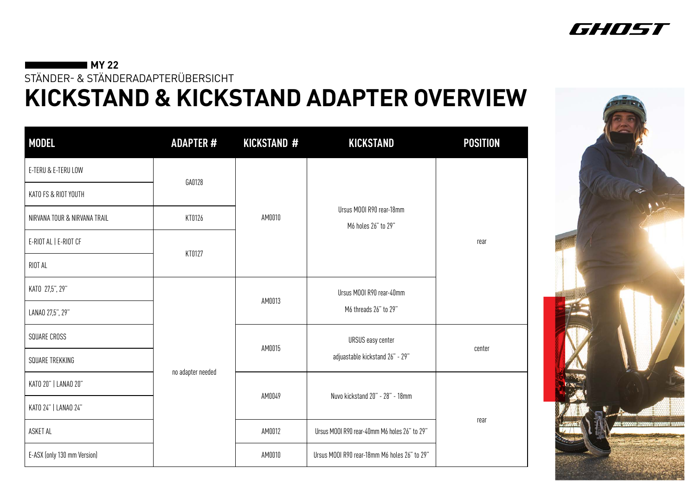## **MY 22**

STÄNDER- & STÄNDERADAPTERÜBERSICHT

| <b>MODEL</b>                 | <b>ADAPTER#</b>   | <b>KICKSTAND #</b> | <b>KICKSTAND</b>                                | <b>POSITION</b> |  |
|------------------------------|-------------------|--------------------|-------------------------------------------------|-----------------|--|
| E-TERU & E-TERU LOW          |                   |                    |                                                 |                 |  |
| KATO FS & RIOT YOUTH         | GA0128            |                    | Ursus M00I R90 rear-18mm<br>M6 holes 26" to 29" | rear            |  |
| NIRVANA TOUR & NIRVANA TRAIL | KT0126            | AM0010             |                                                 |                 |  |
| E-RIOT AL   E-RIOT CF        |                   |                    |                                                 |                 |  |
| RIOT AL                      | KT0127            |                    |                                                 |                 |  |
| KATO 27,5", 29"              |                   |                    | Ursus M00I R90 rear-40mm                        |                 |  |
| LANAO 27,5", 29"             |                   | AM0013             | M6 threads 26" to 29"                           |                 |  |
| SQUARE CROSS                 |                   |                    | <b>URSUS easy center</b>                        | center          |  |
| SQUARE TREKKING              |                   | AM0015             | adjuastable kickstand 26" - 29"                 |                 |  |
| KATO 20"   LANAO 20"         | no adapter needed |                    |                                                 | rear            |  |
| KATO 24"   LANAO 24"         |                   | AM0049             | Nuvo kickstand 20" - 28" - 18mm                 |                 |  |
| ASKET AL                     |                   | AM0012             | Ursus MOOI R90 rear-40mm M6 holes 26" to 29"    |                 |  |
| E-ASX (only 130 mm Version)  |                   | AM0010             | Ursus M00I R90 rear-18mm M6 holes 26" to 29"    |                 |  |





## **KICKSTAND & KICKSTAND ADAPTER OVERVIEW**